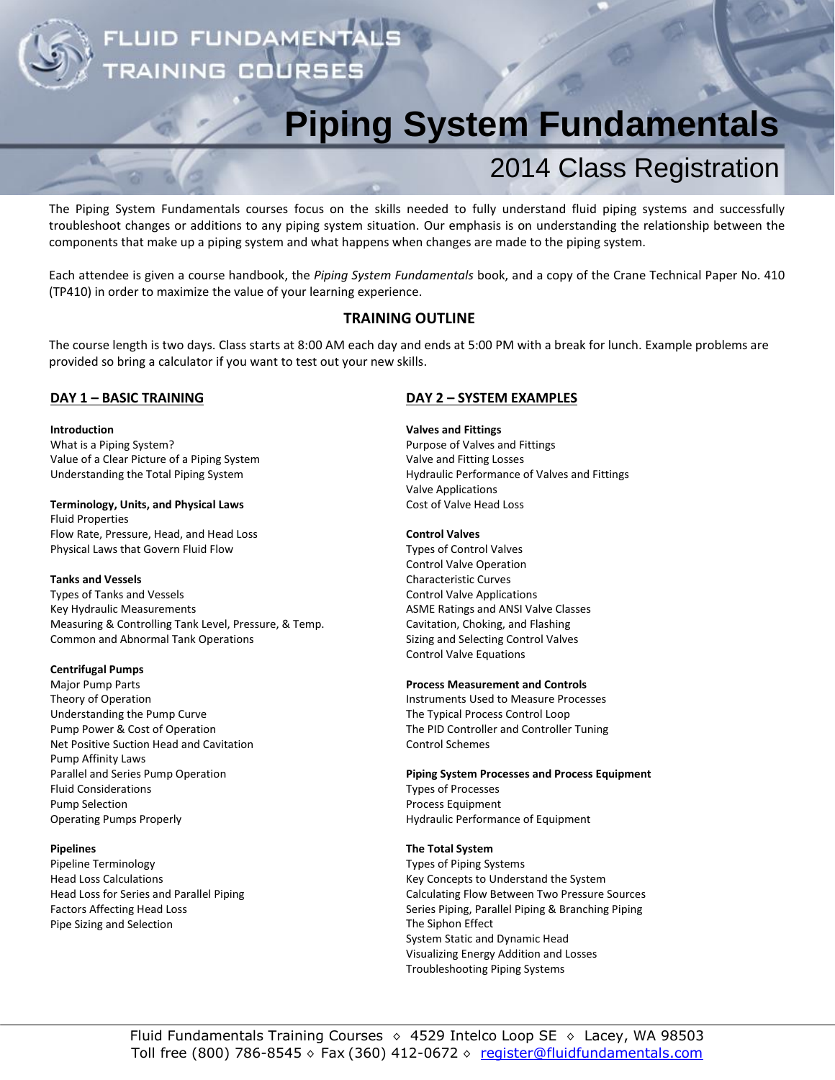UID FUNDAMENT **INING COU** 

# **Piping System Fundamentals**

## 2014 Class Registration

The Piping System Fundamentals courses focus on the skills needed to fully understand fluid piping systems and successfully troubleshoot changes or additions to any piping system situation. Our emphasis is on understanding the relationship between the components that make up a piping system and what happens when changes are made to the piping system.

Each attendee is given a course handbook, the *Piping System Fundamentals* book, and a copy of the Crane Technical Paper No. 410 (TP410) in order to maximize the value of your learning experience.

## **TRAINING OUTLINE**

The course length is two days. Class starts at 8:00 AM each day and ends at 5:00 PM with a break for lunch. Example problems are provided so bring a calculator if you want to test out your new skills.

## **DAY 1 – BASIC TRAINING**

## **Introduction**

What is a Piping System? Value of a Clear Picture of a Piping System Understanding the Total Piping System

## **Terminology, Units, and Physical Laws**

Fluid Properties Flow Rate, Pressure, Head, and Head Loss Physical Laws that Govern Fluid Flow

## **Tanks and Vessels**

Types of Tanks and Vessels Key Hydraulic Measurements Measuring & Controlling Tank Level, Pressure, & Temp. Common and Abnormal Tank Operations

## **Centrifugal Pumps**

Major Pump Parts Theory of Operation Understanding the Pump Curve Pump Power & Cost of Operation Net Positive Suction Head and Cavitation Pump Affinity Laws Parallel and Series Pump Operation Fluid Considerations Pump Selection Operating Pumps Properly

## **Pipelines**

Pipeline Terminology Head Loss Calculations Head Loss for Series and Parallel Piping Factors Affecting Head Loss Pipe Sizing and Selection

## **DAY 2 – SYSTEM EXAMPLES**

## **Valves and Fittings**

Purpose of Valves and Fittings Valve and Fitting Losses Hydraulic Performance of Valves and Fittings Valve Applications Cost of Valve Head Loss

## **Control Valves**

Types of Control Valves Control Valve Operation Characteristic Curves Control Valve Applications ASME Ratings and ANSI Valve Classes Cavitation, Choking, and Flashing Sizing and Selecting Control Valves Control Valve Equations

## **Process Measurement and Controls**

Instruments Used to Measure Processes The Typical Process Control Loop The PID Controller and Controller Tuning Control Schemes

## **Piping System Processes and Process Equipment**

Types of Processes Process Equipment Hydraulic Performance of Equipment

## **The Total System**

Types of Piping Systems Key Concepts to Understand the System Calculating Flow Between Two Pressure Sources Series Piping, Parallel Piping & Branching Piping The Siphon Effect System Static and Dynamic Head Visualizing Energy Addition and Losses Troubleshooting Piping Systems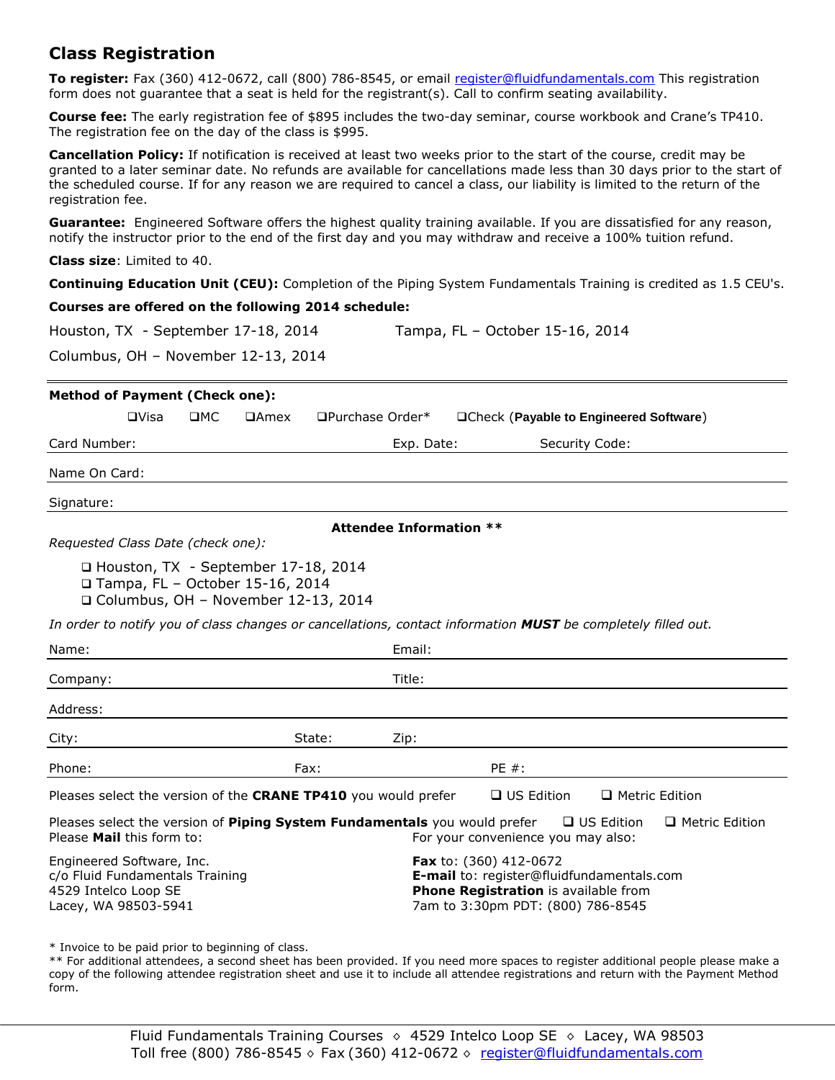## **Class Registration**

**To register:** Fax (360) 412-0672, call (800) 786-8545, or email [register@fluidfundamentals.com](mailto:register@fluidfundamentals.com) This registration form does not guarantee that a seat is held for the registrant(s). Call to confirm seating availability.

**Course fee:** The early registration fee of \$895 includes the two-day seminar, course workbook and Crane's TP410. The registration fee on the day of the class is \$995.

**Cancellation Policy:** If notification is received at least two weeks prior to the start of the course, credit may be granted to a later seminar date. No refunds are available for cancellations made less than 30 days prior to the start of the scheduled course. If for any reason we are required to cancel a class, our liability is limited to the return of the registration fee.

**Guarantee:** Engineered Software offers the highest quality training available. If you are dissatisfied for any reason, notify the instructor prior to the end of the first day and you may withdraw and receive a 100% tuition refund.

**Class size**: Limited to 40.

**Continuing Education Unit (CEU):** Completion of the Piping System Fundamentals Training is credited as 1.5 CEU's.

## **Courses are offered on the following 2014 schedule:**

| Tampa, FL - October 15-16, 2014<br>Houston, TX - September 17-18, 2014 |  |
|------------------------------------------------------------------------|--|
|------------------------------------------------------------------------|--|

Columbus, OH – November 12-13, 2014

| <b>Method of Payment (Check one):</b>                                                                                                                                                                                                                            |             |           |                                                                            |                                       |                                |  |                                         |                       |  |
|------------------------------------------------------------------------------------------------------------------------------------------------------------------------------------------------------------------------------------------------------------------|-------------|-----------|----------------------------------------------------------------------------|---------------------------------------|--------------------------------|--|-----------------------------------------|-----------------------|--|
|                                                                                                                                                                                                                                                                  | $\Box$ Visa | $\Box$ MC | $\Box$ Amex                                                                | □Purchase Order*                      |                                |  | □Check (Payable to Engineered Software) |                       |  |
| Card Number:                                                                                                                                                                                                                                                     |             |           |                                                                            |                                       | Exp. Date:                     |  |                                         | Security Code:        |  |
| Name On Card:                                                                                                                                                                                                                                                    |             |           |                                                                            |                                       |                                |  |                                         |                       |  |
| Signature:                                                                                                                                                                                                                                                       |             |           |                                                                            |                                       |                                |  |                                         |                       |  |
|                                                                                                                                                                                                                                                                  |             |           |                                                                            |                                       | <b>Attendee Information **</b> |  |                                         |                       |  |
| Requested Class Date (check one):                                                                                                                                                                                                                                |             |           |                                                                            |                                       |                                |  |                                         |                       |  |
|                                                                                                                                                                                                                                                                  |             |           | □ Houston, TX - September 17-18, 2014<br>□ Tampa, FL - October 15-16, 2014 | □ Columbus, OH - November 12-13, 2014 |                                |  |                                         |                       |  |
| In order to notify you of class changes or cancellations, contact information MUST be completely filled out.                                                                                                                                                     |             |           |                                                                            |                                       |                                |  |                                         |                       |  |
| Name:                                                                                                                                                                                                                                                            |             |           |                                                                            |                                       | Email:                         |  |                                         |                       |  |
| Company:                                                                                                                                                                                                                                                         |             |           |                                                                            |                                       | Title:                         |  |                                         |                       |  |
| Address:                                                                                                                                                                                                                                                         |             |           |                                                                            |                                       |                                |  |                                         |                       |  |
| City:                                                                                                                                                                                                                                                            |             |           |                                                                            | State:                                | Zip:                           |  |                                         |                       |  |
| Phone:                                                                                                                                                                                                                                                           |             |           |                                                                            | Fax:                                  |                                |  | $PE#$ :                                 |                       |  |
| Pleases select the version of the CRANE TP410 you would prefer                                                                                                                                                                                                   |             |           |                                                                            |                                       |                                |  | $\Box$ US Edition                       | $\Box$ Metric Edition |  |
| Pleases select the version of Piping System Fundamentals you would prefer<br>$\Box$ US Edition<br>$\Box$ Metric Edition<br>Please Mail this form to:<br>For your convenience you may also:                                                                       |             |           |                                                                            |                                       |                                |  |                                         |                       |  |
| Engineered Software, Inc.<br>Fax to: (360) 412-0672<br>c/o Fluid Fundamentals Training<br>E-mail to: register@fluidfundamentals.com<br>4529 Intelco Loop SE<br>Phone Registration is available from<br>Lacey, WA 98503-5941<br>7am to 3:30pm PDT: (800) 786-8545 |             |           |                                                                            |                                       |                                |  |                                         |                       |  |

\* Invoice to be paid prior to beginning of class.

\*\* For additional attendees, a second sheet has been provided. If you need more spaces to register additional people please make a copy of the following attendee registration sheet and use it to include all attendee registrations and return with the Payment Method form.